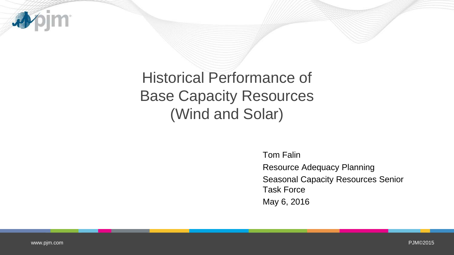

# Historical Performance of Base Capacity Resources (Wind and Solar)

Tom Falin Resource Adequacy Planning Seasonal Capacity Resources Senior Task Force May 6, 2016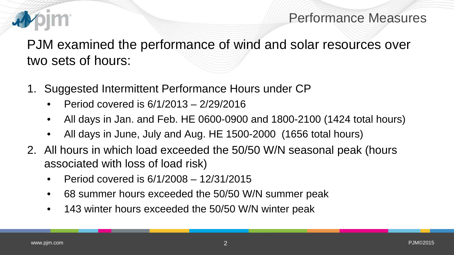

### Performance Measures

PJM examined the performance of wind and solar resources over two sets of hours:

- 1. Suggested Intermittent Performance Hours under CP
	- Period covered is 6/1/2013 2/29/2016
	- All days in Jan. and Feb. HE 0600-0900 and 1800-2100 (1424 total hours)
	- All days in June, July and Aug. HE 1500-2000 (1656 total hours)
- 2. All hours in which load exceeded the 50/50 W/N seasonal peak (hours associated with loss of load risk)
	- Period covered is 6/1/2008 12/31/2015
	- 68 summer hours exceeded the 50/50 W/N summer peak
	- 143 winter hours exceeded the 50/50 W/N winter peak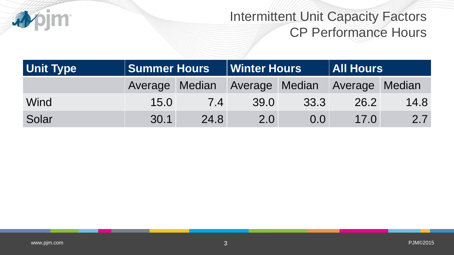

### Intermittent Unit Capacity Factors CP Performance Hours

| <b>Unit Type</b> | <b>Summer Hours</b> |      | <b>Winter Hours</b> |                                              | <b>All Hours</b> |      |
|------------------|---------------------|------|---------------------|----------------------------------------------|------------------|------|
|                  |                     |      |                     | Average Median Average Median Average Median |                  |      |
| Wind             | 15.0                | 74   | 39.0                | 33.3                                         | 26.2             | 14.8 |
| Solar            | 30.1                | 24.8 | 2.0                 | 0.0 <sub>1</sub>                             | 17.0             | 2.7  |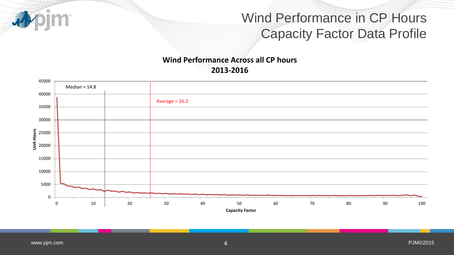## Wind Performance in CP Hours Capacity Factor Data Profile

#### **Wind Performance Across all CP hours 2013-2016**

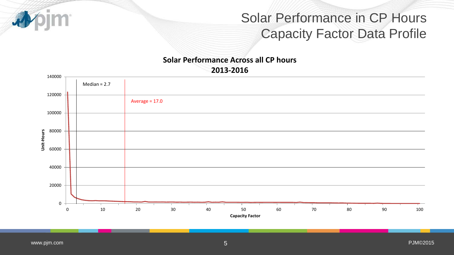## Solar Performance in CP Hours Capacity Factor Data Profile

#### **Solar Performance Across all CP hours 2013-2016**

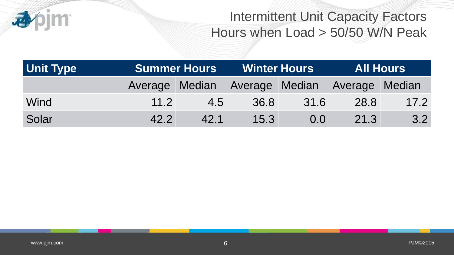

## Intermittent Unit Capacity Factors Hours when Load > 50/50 W/N Peak

| <b>Unit Type</b> | <b>Summer Hours</b> |      | <b>Winter Hours</b> |                                              | <b>All Hours</b> |      |
|------------------|---------------------|------|---------------------|----------------------------------------------|------------------|------|
|                  |                     |      |                     | Average Median Average Median Average Median |                  |      |
| Wind             | 11.2                | 4.5  | 36.8                | 31.6                                         | 28.8             | 17.2 |
| Solar            | 42.2                | 42.1 | 15.3                | 0.0                                          | 21.3             | 3.2  |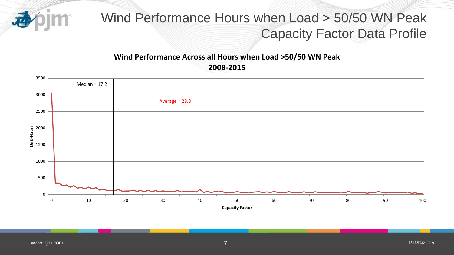

### Wind Performance Hours when Load > 50/50 WN Peak Capacity Factor Data Profile

#### **Wind Performance Across all Hours when Load >50/50 WN Peak 2008-2015**